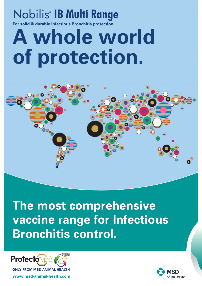## Nobilis® IB Multi Range

**For solid & durable Infectious Bronchitis protection.**

# **A whole world of protection.**



**The most comprehensive vaccine range for Infectious Bronchitis control.**



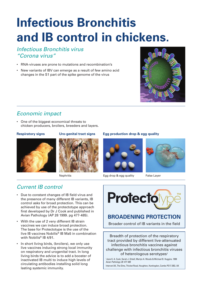## **Infectious Bronchitis and IB control in chickens.**

### *Infectious Bronchitis virus "Corona virus"*

- RNA-viruses are prone to mutations and recombination's
- New variants of IBV can emerge as a result of few amino acid changes in the S1 part of the spike genome of the virus



## *Economic impact*

• One of the biggest economical threats to chicken producers, broilers, breeders and layers.





## *Current IB control*

- Due to constant changes of IB field virus and the presence of many different IB variants, IB control asks for broad protection. This can be achieved by use of the protectotype approach first developed by Dr J Cook and published in Avian Pathology (AP 28 1999. pg 477-485).
- With the use of 2 very different IB strain vaccines we can induce broad protection. The base for Protectotype is the use of the live IB vaccines Nobilis® IB Ma5 in combination with Nobilis® IB 4/91.
- In short living birds, (broilers), we only use live vaccines inducing strong local immunity on respiratory and urogenital tract. In long living birds the advice is to add a booster of inactivated IB multi to induce high levels of circulating antibodies installing solid long lasting systemic immunity.

### **Respiratory signs Uro-genital tract signs Egg production drop & egg quality**





Nephritis **Egg drop & egg quality** False Layer



## **BROADENING PROTECTION**

Broader control of IB variants in the field

Breadth of protection of the respiratory tract provided by different live-attenuated infectious bronchitis vaccines against challenge with infectious bronchitis viruses of heterologous serotypes<sup>1</sup>

1 Jane K. A. Cook, Sarah J. Orbell, Martyn A. Woods & Michael B. Huggins. 1999 *Avian Pathology 28: 477-485*

Intervet UK, The Elms, Thicket Road, Houghton, Huntingdon, Cambs PE17 2BQ. UK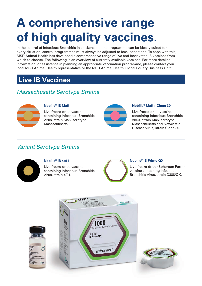## **A comprehensive range of high quality vaccines.**

In the control of Infectious Bronchitis in chickens, no one programme can be ideally suited for every situation; control programmes must always be adjusted to local conditions. To cope with this, MSD Animal Health has developed a comprehensive range of live and inactivated IB vaccines from which to choose. The following is an overview of currently available vaccines. For more detailed information, or assistance in planning an appropriate vaccination programme, please contact your local MSD Animal Health representative or the MSD Animal Health Global Poultry Business Unit.

## **Live IB Vaccines**

## *Massachusetts Serotype Strains*



#### **Nobilis® IB Ma5**

Live freeze-dried vaccine containing Infectious Bronchitis virus, strain Ma5, serotype Massachusetts.



#### **Nobilis® Ma5 + Clone 30**

Live freeze-dried vaccine containing Infectious Bronchitis virus, strain Ma5, serotype Massachusetts and Newcastle Disease virus, strain Clone 30.

### *Variant Serotype Strains*



#### **Nobilis® IB 4/91**

Live freeze-dried vaccine containing Infectious Bronchitis virus, strain 4/91.



#### **Nobilis® IB Primo QX**

Live freeze-dried (Sphereon Form) vaccine containing Infectious Bronchitis virus, strain D388/QX.

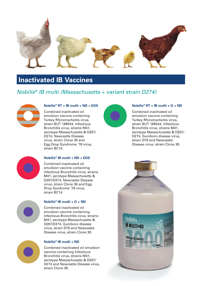

## **Inactivated IB Vaccines**

## *Nobilis® IB multi (Massachusetts + variant strain D274)*



#### **Nobilis® RT + IB multi + ND + EDS**

Combined inactivated oil emulsion vaccine containing Turkey Rhinotracheitis virus, strain BUT 1#8544, Infectious Bronchitis virus, strains M41, serotype Massachusetts & D207/ D274, Newcastle Disease virus, strain Clone 30 and Egg Drop Syndrome '76 virus, strain BC14.



#### **Nobilis® RT + IB multi + G + ND**

Combined inactivated oil emulsion vaccine containing Turkey Rhinotracheitis virus, strain BUT 1#8544, Infectious Bronchitis virus, strains M41, serotype Massachusetts & D207/ D274, Gumboro disease virus, strain D78 and Newcastle Disease virus, strain Clone 30.



#### **Nobilis® IB multi + ND + EDS**

Combined inactivated oil emulsion vaccine containing Infectious Bronchitis virus, strains M41, serotype Massachusetts & D207/D274, Newcastle Disease virus, strain Clone 30 and Egg Drop Syndrome '76 virus, strain BC14.



#### **Nobilis® IB multi + G + ND**

Combined inactivated oil emulsion vaccine containing Infectious Bronchitis virus, strains M41, serotype Massachusetts & D207/D274, Gumboro disease virus, strain D78 and Newcastle Disease virus, strain Clone 30.



#### **Nobilis® IB multi + ND**

Combined inactivated oil emulsion vaccine containing Infectious Bronchitis virus, strains M41, serotype Massachusetts & D207/ D274 and Newcastle Disease virus, strain Clone 30.

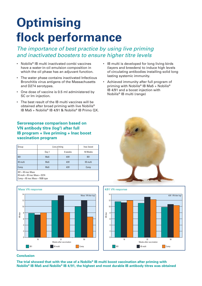## **Optimising flock performance**

### *The importance of best practice by using live priming and inactivated boosters to ensure higher titre levels*

- Nobilis® IB multi inactivated combi vaccines have a water-in-oil emulsion composition in which the oil phase has an adjuvant function.
- The water phase contains inactivated Infectious Bronchitis virus antigens of the Massachusetts and D274 serotypes.
- One dose of vaccine is 0.5 ml administered by SC or Im injection.
- The best result of the IB multi vaccines will be obtained after broad priming with live Nobilis® IB Ma5 + Nobilis® IB 4/91 & Nobilis® IB Primo QX.

### **Seroresponse comparison based on VN antibody titre (log2 ) after full IB program + live priming + Inac boost vaccination program**

| Group                                                                                       | Live priming    |         | Inac boost      |
|---------------------------------------------------------------------------------------------|-----------------|---------|-----------------|
|                                                                                             | Day 1           | 6 weeks | 16 Weeks        |
| IB1                                                                                         | Ma <sub>5</sub> | 4/91    | IB <sub>1</sub> |
| IB multi                                                                                    | Ma <sub>5</sub> | 4/91    | IB multi        |
| Comp                                                                                        | Ma <sub>5</sub> | 4/91    | Comp            |
| $IB1 = IB$ inac Mass<br>IB multi = IB inac Mass + D274<br>$Comp = IB$ inac Mass + 793B type |                 |         |                 |



#### • IB multi is developed for long living birds (layers and breeders) to induce high levels of circulating antibodies installing solid long lasting systemic immunity.

• Achieved immunity after full program of priming with Nobilis® IB Ma5 + Nobilis® IB 4/91 and a boost injection with Nobilis® IB multi (range)





#### **Conclusion**

**The trial showed that with the use of a Nobilis® IB multi boost vaccination after priming with Nobilis® IB Ma5 and Nobilis® IB 4/91, the highest and most durable IB antibody titres was obtained**